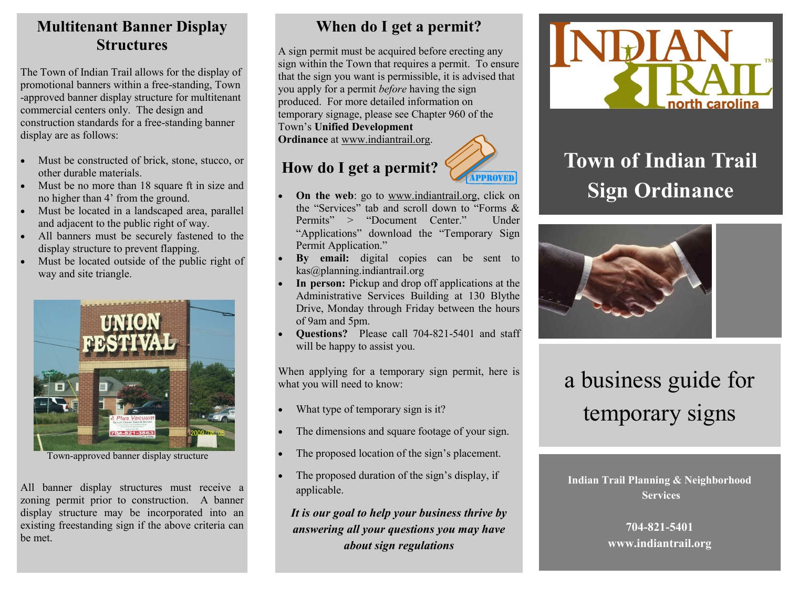## **Multitenant Banner Display Structures**

The Town of Indian Trail allows for the display of promotional banners within a free-standing, Town -approved banner display structure for multitenant commercial centers only. The design and construction standards for a free-standing banner display are as follows:

- Must be constructed of brick, stone, stucco, or other durable materials.
- Must be no more than 18 square ft in size and no higher than 4' from the ground.
- Must be located in a landscaped area, parallel and adjacent to the public right of way.
- All banners must be securely fastened to the display structure to prevent flapping.
- Must be located outside of the public right of way and site triangle.



Town-approved banner display structure

All banner display structures must receive a zoning permit prior to construction. A banner display structure may be incorporated into an existing freestanding sign if the above criteria can be met.

# **When do I get a permit?**

A sign permit must be acquired before erecting any sign within the Town that requires a permit. To ensure that the sign you want is permissible, it is advised that you apply for a permit *before* having the sign produced. For more detailed information on temporary signage, please see Chapter 960 of the Town's **Unified Development Ordinance** at www.indiantrail.org.

# **How do I get a permit?**



- **On the web**: go to www.indiantrail.org, click on the "Services" tab and scroll down to "Forms & Permits" > "Document Center." Under "Applications" download the "Temporary Sign Permit Application."
- **By email:** digital copies can be sent to kas@planning.indiantrail.org
- **In person:** Pickup and drop off applications at the Administrative Services Building at 130 Blythe Drive, Monday through Friday between the hours of 9am and 5pm.
- **Questions?** Please call 704-821-5401 and staff will be happy to assist you.

When applying for a temporary sign permit, here is what you will need to know:

- What type of temporary sign is it?
- The dimensions and square footage of your sign.
- The proposed location of the sign's placement.
- The proposed duration of the sign's display, if applicable.

*It is our goal to help your business thrive by answering all your questions you may have about sign regulations*



# **Town of Indian Trail Sign Ordinance**



# a business guide for temporary signs

**Indian Trail Planning & Neighborhood Services**

> **704-821-5401 www.indiantrail.org**